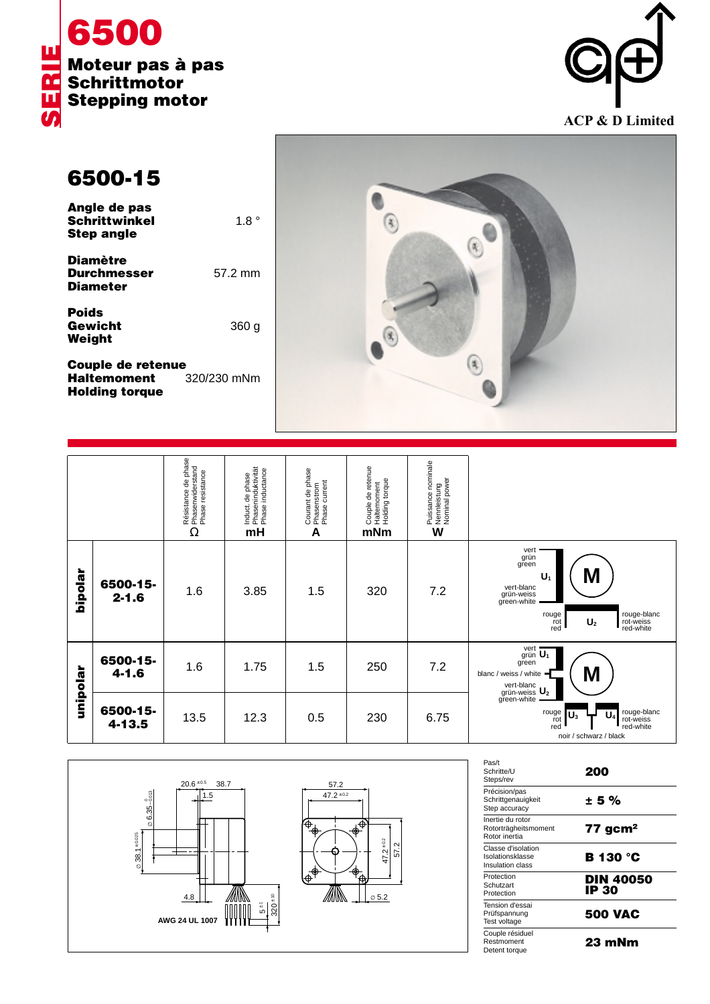



**6500-15**

| Angle de pas<br><b>Schrittwinkel</b><br>Step angle       | $1.8^{\circ}$ |
|----------------------------------------------------------|---------------|
| <b>Diamètre</b><br><b>Durchmesser</b><br><b>Diameter</b> | 57.2 mm       |

**Poids Gewicht** 360 g **Weight**

**Couple de retenue<br>Haltemoment** 320/230 mNm **Haltemoment Holding torque**



|          |                       | Résistance de phase<br>Phasenwiderstand<br>Phase resistance<br>Ω | Induct. de phase<br>, Phaseninduktivität<br><sup>,</sup> Phase inductance<br>mH | Courant de phase<br>· Phasenstrom<br>· Phase current<br>A | Couple de retenue<br>  Hattemoment<br>  Holding torque<br>mNm | , Puissance nominale<br>• Nennleistung<br>• Nominal power<br>W |                                                                                                                                                               |
|----------|-----------------------|------------------------------------------------------------------|---------------------------------------------------------------------------------|-----------------------------------------------------------|---------------------------------------------------------------|----------------------------------------------------------------|---------------------------------------------------------------------------------------------------------------------------------------------------------------|
| hipolar  | 6500-15-<br>$2 - 1.6$ | 1.6                                                              | 3.85                                                                            | 1.5                                                       | 320                                                           | 7.2                                                            | vert<br>grün<br>green<br>M<br>U.<br>vert-blanc<br>grün-weiss<br>green-white<br>rouge-blanc<br>rot-weiss<br>red-white<br>rouge<br>rot<br>red<br>U <sub>2</sub> |
| unipolar | 6500-15-<br>$4 - 1.6$ | 1.6                                                              | 1.75                                                                            | 1.5                                                       | 250                                                           | 7.2                                                            | vert $\overline{U_1}$<br>green<br>M<br>blanc / weiss / white<br>vert-blanc<br>grün-weiss U <sub>2</sub><br>green-white –                                      |
|          | 6500-15-<br>4-13.5    | 13.5                                                             | 12.3                                                                            | 0.5                                                       | 230                                                           | 6.75                                                           | rouge-blanc<br>rot-weiss<br>red-white<br>rouge<br>rot<br>red<br>U.<br>$\mathsf{U}_3$<br>noir / schwarz / black                                                |



| Pas/t<br>Schritte/U<br>Steps/rev                           | 200                       |
|------------------------------------------------------------|---------------------------|
| Précision/pas<br>Schrittgenauigkeit<br>Step accuracy       | ± 5%                      |
| Inertie du rotor<br>Rotorträgheitsmoment<br>Rotor inertia  | $77$ gcm <sup>2</sup>     |
| Classe d'isolation<br>Isolationsklasse<br>Insulation class | <b>B</b> 130 °C           |
| Protection<br>Schutzart<br>Protection                      | <b>DIN 40050</b><br>IP 30 |
| Tension d'essai<br>Prüfspannung<br>Test voltage            | <b>500 VAC</b>            |
| Couple résiduel<br>Restmoment<br>Detent torque             | 23 mNm                    |